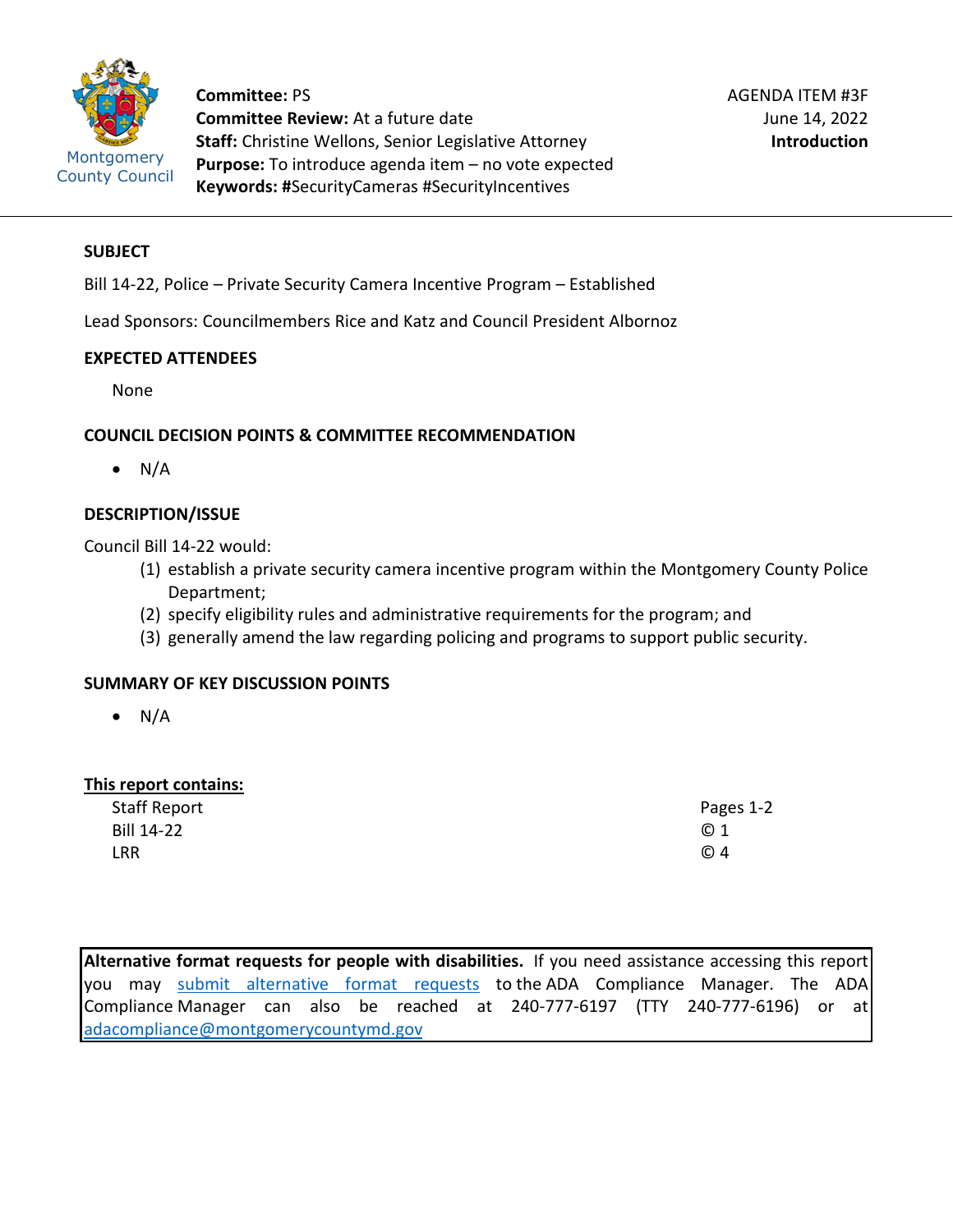

**Committee:** PS **Committee Review:** At a future date **Staff:** Christine Wellons, Senior Legislative Attorney **Purpose:** To introduce agenda item – no vote expected **Keywords: #**SecurityCameras #SecurityIncentives

# **SUBJECT**

Bill 14-22, Police – Private Security Camera Incentive Program – Established

Lead Sponsors: Councilmembers Rice and Katz and Council President Albornoz

#### **EXPECTED ATTENDEES**

None

# **COUNCIL DECISION POINTS & COMMITTEE RECOMMENDATION**

 $\bullet$  N/A

# **DESCRIPTION/ISSUE**

Council Bill 14-22 would:

- (1) establish a private security camera incentive program within the Montgomery County Police Department;
- (2) specify eligibility rules and administrative requirements for the program; and
- (3) generally amend the law regarding policing and programs to support public security.

# **SUMMARY OF KEY DISCUSSION POINTS**

 $\bullet$  N/A

# **This report contains:**

| <b>Staff Report</b> | Pages 1-2 |
|---------------------|-----------|
| Bill 14-22          | © 1       |
| LRR                 | © 4       |

**Alternative format requests for people with disabilities.** If you need assistance accessing this report you may [submit alternative format requests](https://gcc01.safelinks.protection.outlook.com/?url=http%3A%2F%2Fwww2.montgomerycountymd.gov%2Fmcgportalapps%2FAccessibilityForm.aspx&data=02%7C01%7Csandra.marin%40montgomerycountymd.gov%7C79d44e803a8846df027008d6ad4e4d1b%7C6e01b1f9b1e54073ac97778069a0ad64%7C0%7C0%7C636886950086244453&sdata=AT2lwLz22SWBJ8c92gXfspY8lQVeGCrUbqSPzpYheB0%3D&reserved=0) to the ADA Compliance Manager. The ADA Compliance Manager can also be reached at 240-777-6197 (TTY 240-777-6196) or at [adacompliance@montgomerycountymd.gov](mailto:adacompliance@montgomerycountymd.gov)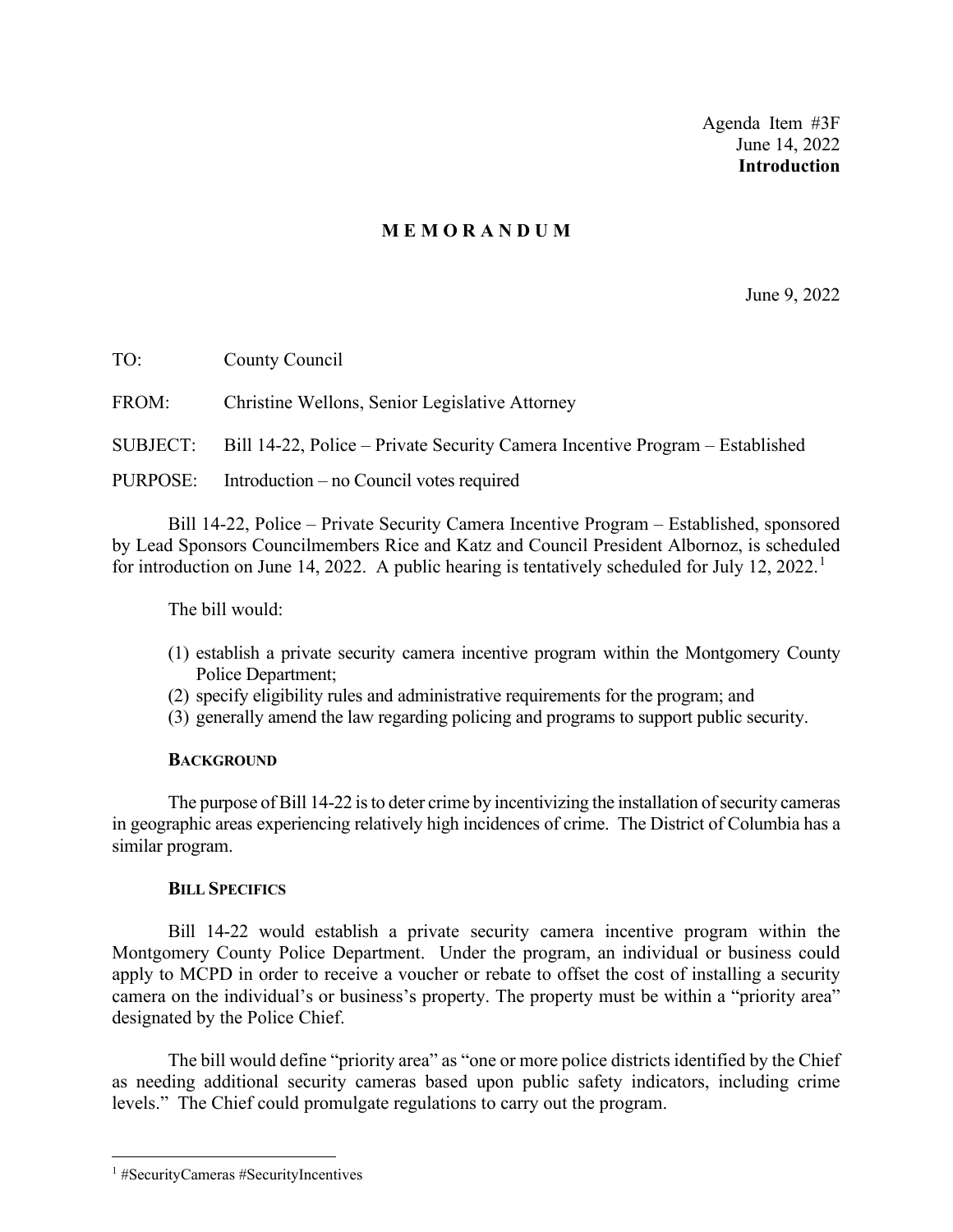Agenda Item #3F June 14, 2022 **Introduction**

# **M E M O R A N D U M**

June 9, 2022

TO: County Council FROM: Christine Wellons, Senior Legislative Attorney SUBJECT: Bill 14-22, Police – Private Security Camera Incentive Program – Established PURPOSE: Introduction – no Council votes required

Bill 14-22, Police – Private Security Camera Incentive Program – Established, sponsored by Lead Sponsors Councilmembers Rice and Katz and Council President Albornoz, is scheduled for introduction on June [1](#page-1-0)4, 2022. A public hearing is tentatively scheduled for July 12, 2022.<sup>1</sup>

The bill would:

- (1) establish a private security camera incentive program within the Montgomery County Police Department;
- (2) specify eligibility rules and administrative requirements for the program; and
- (3) generally amend the law regarding policing and programs to support public security.

#### **BACKGROUND**

The purpose of Bill 14-22 is to deter crime by incentivizing the installation of security cameras in geographic areas experiencing relatively high incidences of crime. The District of Columbia has a similar program.

#### **BILL SPECIFICS**

Bill 14-22 would establish a private security camera incentive program within the Montgomery County Police Department. Under the program, an individual or business could apply to MCPD in order to receive a voucher or rebate to offset the cost of installing a security camera on the individual's or business's property. The property must be within a "priority area" designated by the Police Chief.

The bill would define "priority area" as "one or more police districts identified by the Chief as needing additional security cameras based upon public safety indicators, including crime levels." The Chief could promulgate regulations to carry out the program.

<span id="page-1-0"></span><sup>1</sup> #SecurityCameras #SecurityIncentives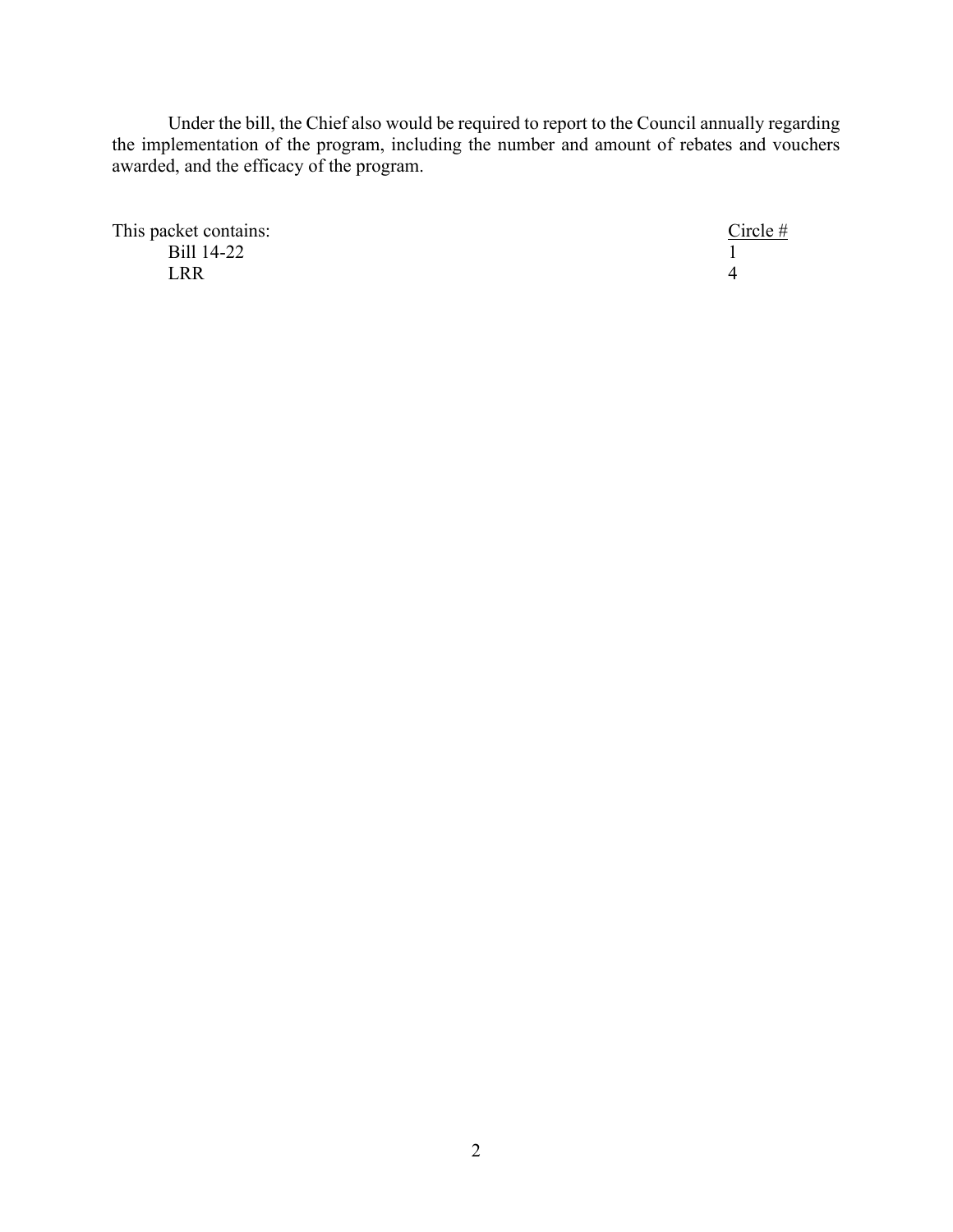Under the bill, the Chief also would be required to report to the Council annually regarding the implementation of the program, including the number and amount of rebates and vouchers awarded, and the efficacy of the program.

This packet contains: Circle #  $Bill 14-22$  1  $LRR$  4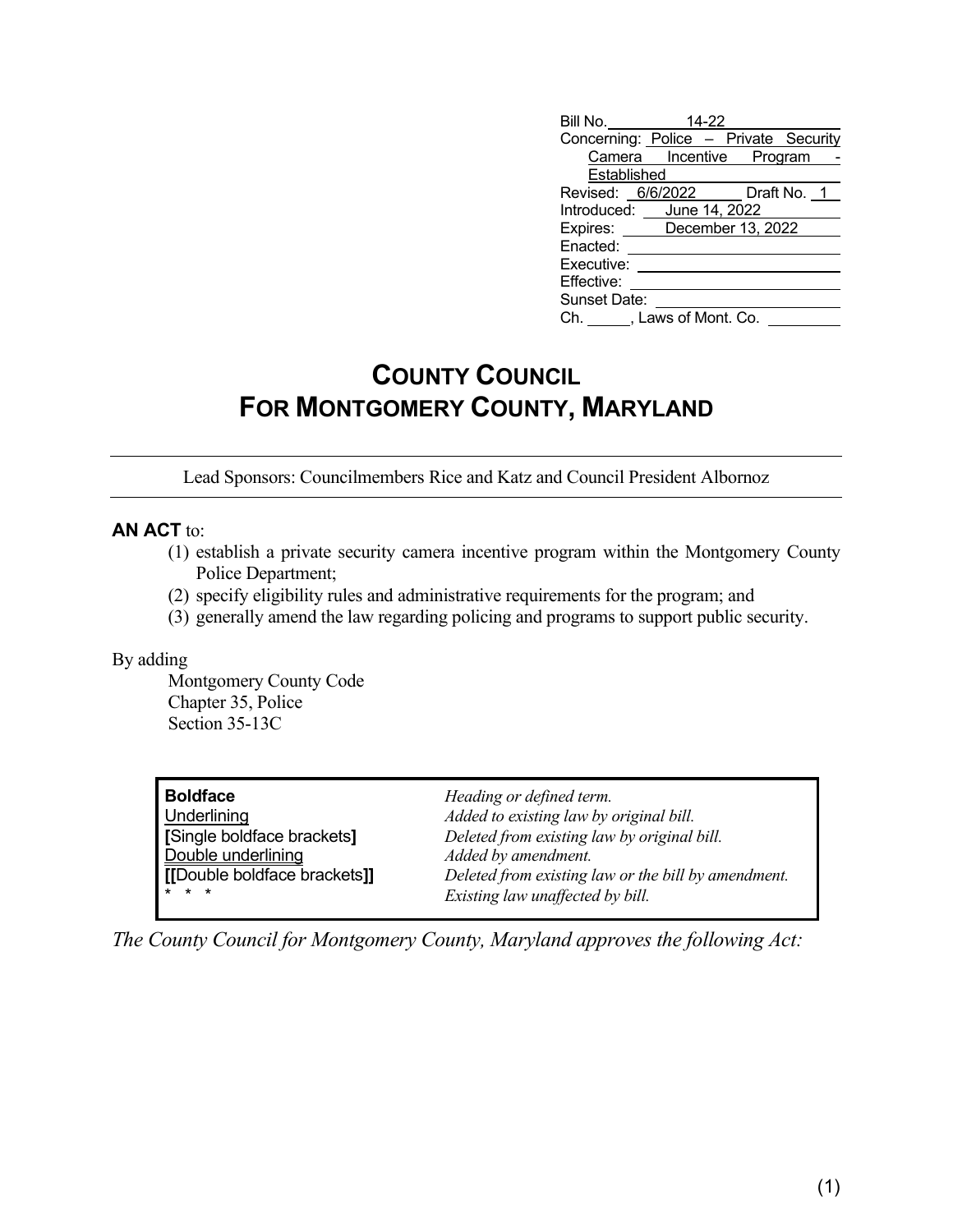| Bill No.  14-22 |                                                                                                                                                                                          |
|-----------------|------------------------------------------------------------------------------------------------------------------------------------------------------------------------------------------|
|                 |                                                                                                                                                                                          |
|                 |                                                                                                                                                                                          |
| Established     |                                                                                                                                                                                          |
|                 |                                                                                                                                                                                          |
|                 |                                                                                                                                                                                          |
|                 |                                                                                                                                                                                          |
|                 |                                                                                                                                                                                          |
|                 |                                                                                                                                                                                          |
|                 |                                                                                                                                                                                          |
| Sunset Date:    |                                                                                                                                                                                          |
|                 |                                                                                                                                                                                          |
|                 | Concerning: Police - Private Security<br>Camera Incentive Program<br>Revised: 6/6/2022 Draft No. 1<br>Introduced: June 14, 2022<br>Expires: December 13, 2022<br>Ch. , Laws of Mont. Co. |

# **COUNTY COUNCIL FOR MONTGOMERY COUNTY, MARYLAND**

Lead Sponsors: Councilmembers Rice and Katz and Council President Albornoz

# **AN ACT** to:

- (1) establish a private security camera incentive program within the Montgomery County Police Department;
- (2) specify eligibility rules and administrative requirements for the program; and
- (3) generally amend the law regarding policing and programs to support public security.

#### By adding

Montgomery County Code Chapter 35, Police Section 35-13C

**Boldface** *Heading or defined term.*<br>
Underlining *Added to existing law by e* **Double underlining**<br> **IDouble boldface brackets**<br> **IDouble boldface brackets** 

Underlining *Added to existing law by original bill.* **[**Single boldface brackets**]** *Deleted from existing law by original bill.* **(b)**  $\mathbf{b}$  **[l boldface brackets]]** *Deleted from existing law or the bill by amendment.* Existing law unaffected by bill.

*The County Council for Montgomery County, Maryland approves the following Act:*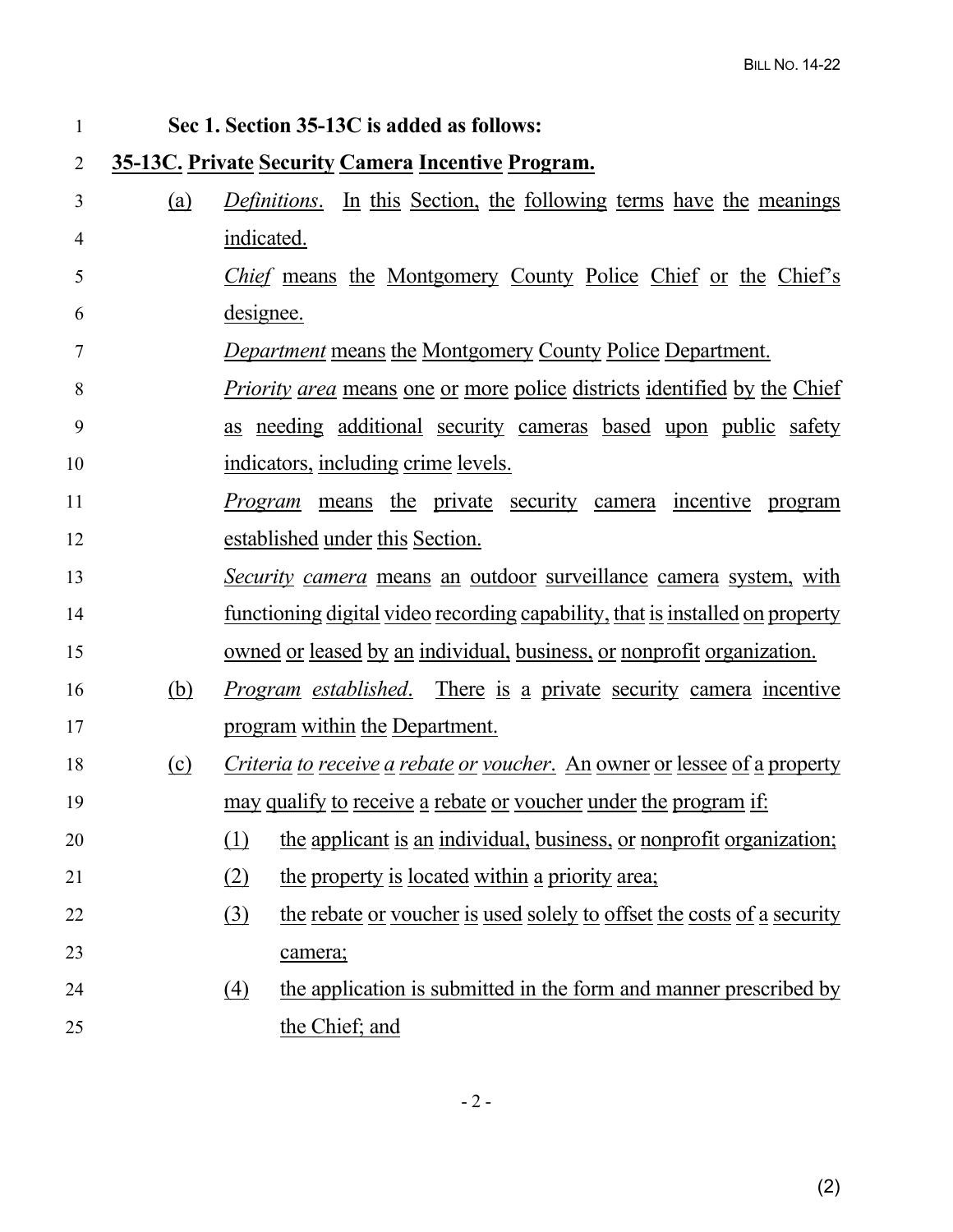| $\mathbf{1}$   |            | Sec 1. Section 35-13C is added as follows:                                                 |
|----------------|------------|--------------------------------------------------------------------------------------------|
| $\overline{2}$ |            | <b>35-13C. Private Security Camera Incentive Program.</b>                                  |
| 3              | <u>(a)</u> | <i>Definitions.</i> In this Section, the following terms have the meanings                 |
| 4              |            | indicated.                                                                                 |
| 5              |            | <i>Chief</i> means the Montgomery County Police Chief or the Chief's                       |
| 6              |            | designee.                                                                                  |
| 7              |            | <b>Department means the Montgomery County Police Department.</b>                           |
| 8              |            | <i>Priority area</i> means one or more police districts identified by the Chief            |
| 9              |            | as needing additional security cameras based upon public safety                            |
| 10             |            | indicators, including crime levels.                                                        |
| 11             |            | <i>Program</i> means the private security camera incentive program                         |
| 12             |            | established under this Section.                                                            |
| 13             |            | <i>Security camera</i> means an outdoor surveillance camera system, with                   |
| 14             |            | <u>functioning digital video recording capability, that is installed on property</u>       |
| 15             |            | <u>owned or leased by an individual, business, or nonprofit organization.</u>              |
| 16             | <u>(b)</u> | <i>Program established.</i> There is a private security camera incentive                   |
| 17             |            | program within the Department.                                                             |
| 18             | $\Omega$   | <i>Criteria to receive a rebate or youcher.</i> An owner or lessee of a property           |
| 19             |            | <u>may qualify to receive a rebate or voucher under the program if:</u>                    |
| 20             |            | (1)<br>the applicant is an individual, business, or nonprofit organization;                |
| 21             |            | the property is located within a priority area;<br>(2)                                     |
| 22             |            | the rebate or voucher is used solely to offset the costs of a security<br>$\left(3\right)$ |
| 23             |            | camera;                                                                                    |
| 24             |            | the application is submitted in the form and manner prescribed by<br>(4)                   |
| 25             |            | the Chief; and                                                                             |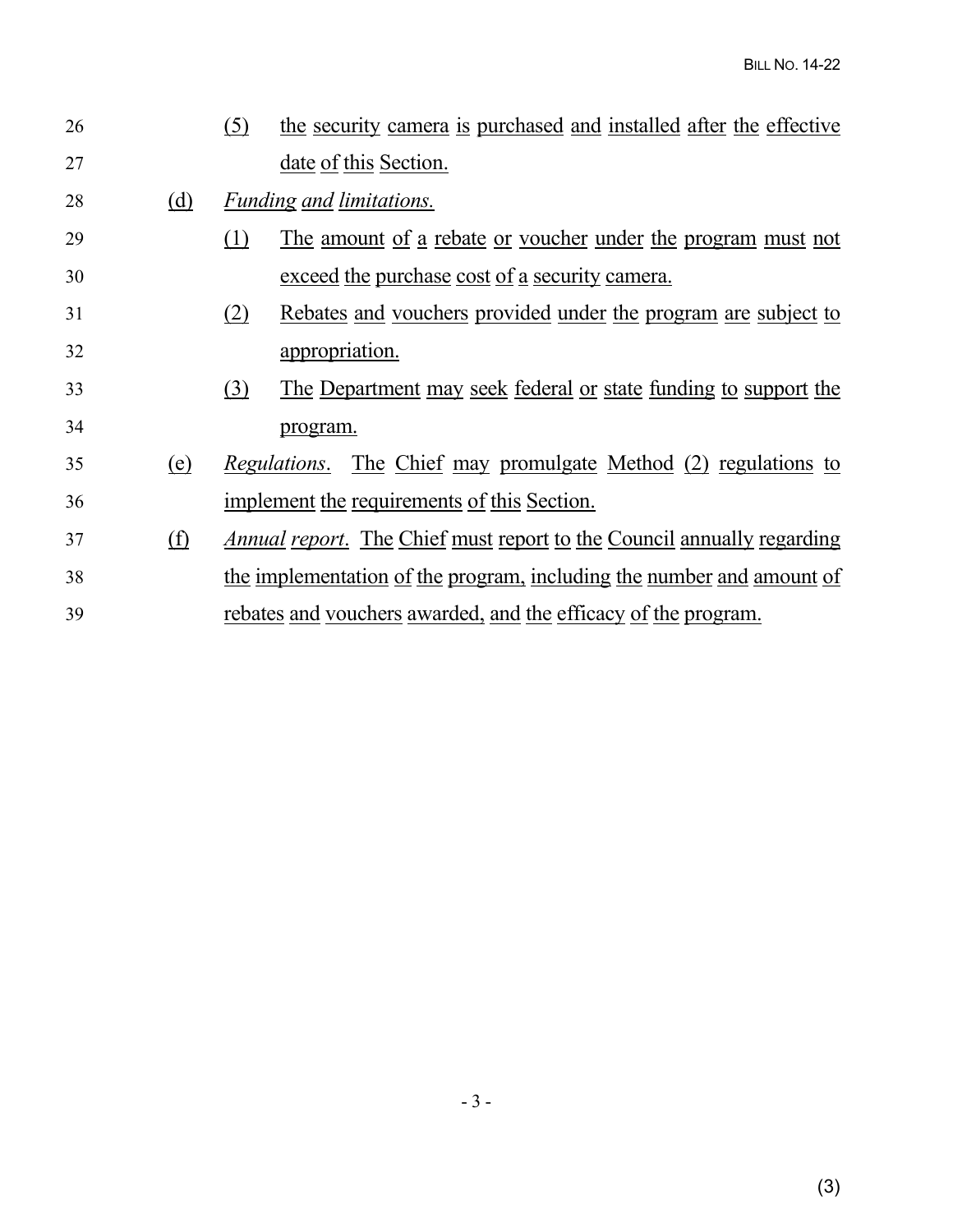| 26 |            | the security camera is purchased and installed after the effective<br>(5)            |
|----|------------|--------------------------------------------------------------------------------------|
| 27 |            | date of this Section.                                                                |
| 28 | (d)        | <b>Funding and limitations.</b>                                                      |
| 29 |            | <u>The amount of a rebate or voucher under the program must not</u><br>(1)           |
| 30 |            | exceed the purchase cost of a security camera.                                       |
| 31 |            | Rebates and vouchers provided under the program are subject to<br>(2)                |
| 32 |            | appropriation.                                                                       |
| 33 |            | <u>The Department may seek federal or state funding to support the</u><br><u>(3)</u> |
| 34 |            | program.                                                                             |
| 35 | (e)        | The Chief may promulgate Method (2) regulations to<br>Regulations.                   |
| 36 |            | implement the requirements of this Section.                                          |
| 37 | <u>(f)</u> | <u>Annual report. The Chief must report to the Council annually regarding</u>        |
| 38 |            | the implementation of the program, including the number and amount of                |
| 39 |            | rebates and vouchers awarded, and the efficacy of the program.                       |
|    |            |                                                                                      |